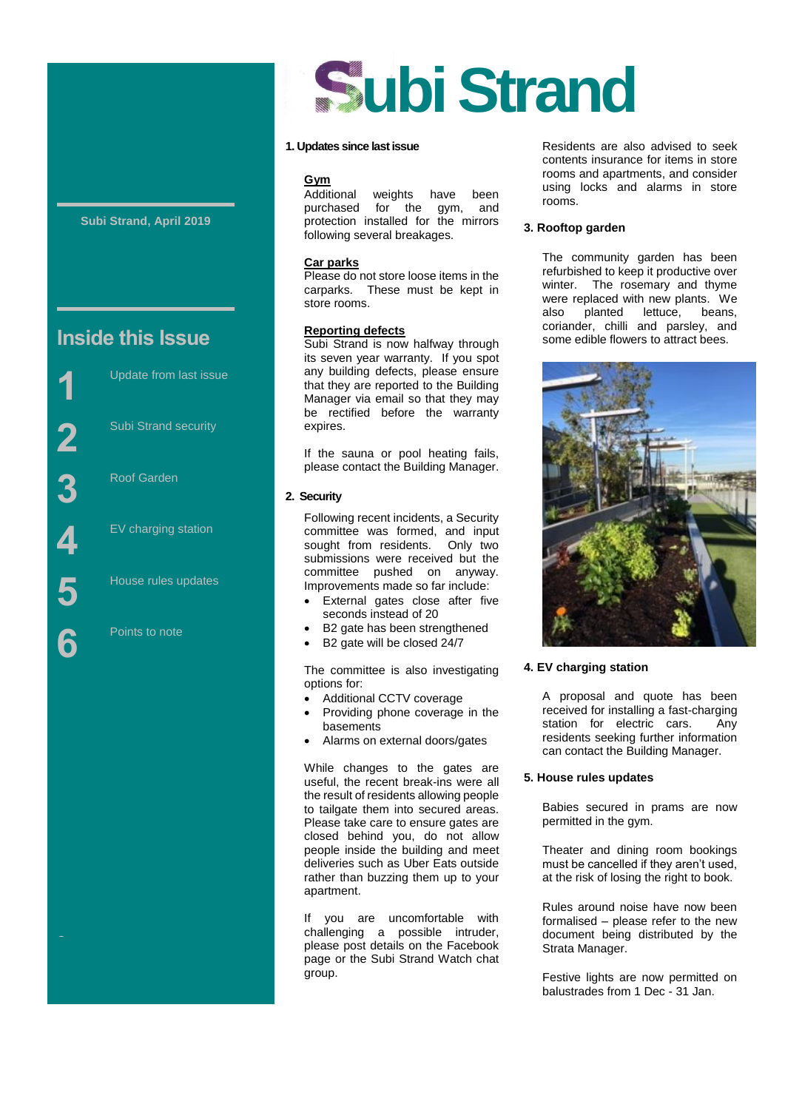#### **Subi Strand, April 2019**

# **Inside this Issue**



Street

Update from last issue



Roof Garden

EV charging station

House rules updates

Points to note

# **ubi Strand**

#### **1. Updates since last issue**

**Gym** weights have been purchased for the gym, and protection installed for the mirrors following several breakages.

#### **Car parks**

Please do not store loose items in the carparks. These must be kept in store rooms.

#### **Reporting defects**

Subi Strand is now halfway through its seven year warranty. If you spot any building defects, please ensure that they are reported to the Building Manager via email so that they may be rectified before the warranty expires.

If the sauna or pool heating fails, please contact the Building Manager.

#### **2. Security**

Following recent incidents, a Security committee was formed, and input sought from residents. Only two submissions were received but the committee pushed on anyway. Improvements made so far include:

- External gates close after five seconds instead of 20
- B2 gate has been strengthened
- B2 gate will be closed 24/7

The committee is also investigating options for:

- Additional CCTV coverage
- Providing phone coverage in the basements
- Alarms on external doors/gates

While changes to the gates are useful, the recent break-ins were all the result of residents allowing people to tailgate them into secured areas. Please take care to ensure gates are closed behind you, do not allow people inside the building and meet deliveries such as Uber Eats outside rather than buzzing them up to your apartment.

If you are uncomfortable with challenging a possible intruder, please post details on the Facebook page or the Subi Strand Watch chat group.

Residents are also advised to seek contents insurance for items in store rooms and apartments, and consider using locks and alarms in store rooms.

#### **3. Rooftop garden**

The community garden has been refurbished to keep it productive over winter. The rosemary and thyme were replaced with new plants. We<br>also planted lettuce, beans, .<br>planted coriander, chilli and parsley, and some edible flowers to attract bees.



#### **4. EV charging station**

A proposal and quote has been received for installing a fast-charging station for electric cars. Any residents seeking further information can contact the Building Manager.

#### **5. House rules updates**

Babies secured in prams are now permitted in the gym.

Theater and dining room bookings must be cancelled if they aren't used, at the risk of losing the right to book.

Rules around noise have now been formalised – please refer to the new document being distributed by the Strata Manager.

Festive lights are now permitted on balustrades from 1 Dec - 31 Jan.